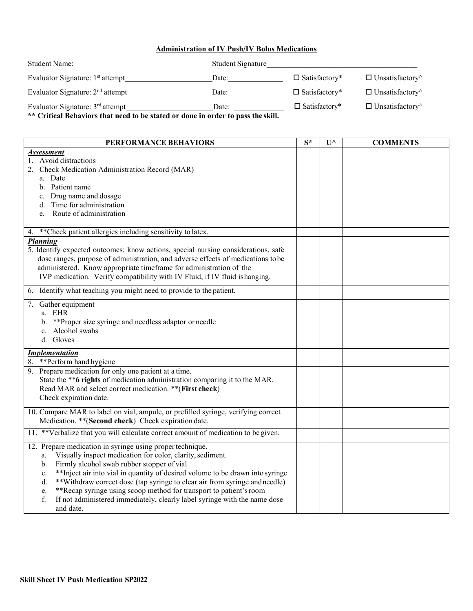## **Administration of IV Push/IV Bolus Medications**

| <b>Student Name:</b>                                                                                                             | Student Signature |                      |                               |
|----------------------------------------------------------------------------------------------------------------------------------|-------------------|----------------------|-------------------------------|
| Evaluator Signature: 1 <sup>st</sup> attempt                                                                                     | Date:             | $\Box$ Satisfactory* | $\Box$ Unsatisfactory $\land$ |
| Evaluator Signature: $2nd$ attempt                                                                                               | Date:             | $\Box$ Satisfactory* | $\Box$ Unsatisfactory $\land$ |
| Evaluator Signature: 3 <sup>rd</sup> attempt<br>** Critical Behaviors that need to be stated or done in order to pass the skill. | Date:             | $\Box$ Satisfactory* | $\Box$ Unsatisfactory $\land$ |

| PERFORMANCE BEHAVIORS                                                                                                                                                                                                                                                                                                                                                                                                                                                                                                                                | $S^*$ | $\mathbf{U}^{\wedge}$ | <b>COMMENTS</b> |
|------------------------------------------------------------------------------------------------------------------------------------------------------------------------------------------------------------------------------------------------------------------------------------------------------------------------------------------------------------------------------------------------------------------------------------------------------------------------------------------------------------------------------------------------------|-------|-----------------------|-----------------|
| Assessment<br>Avoid distractions<br>1.<br>Check Medication Administration Record (MAR)<br>a. Date<br>b. Patient name<br>c. Drug name and dosage<br>d. Time for administration<br>Route of administration<br>e.                                                                                                                                                                                                                                                                                                                                       |       |                       |                 |
| **Check patient allergies including sensitivity to latex.<br>4.                                                                                                                                                                                                                                                                                                                                                                                                                                                                                      |       |                       |                 |
| <b>Planning</b><br>5. Identify expected outcomes: know actions, special nursing considerations, safe<br>dose ranges, purpose of administration, and adverse effects of medications to be<br>administered. Know appropriate timeframe for administration of the<br>IVP medication. Verify compatibility with IV Fluid, if IV fluid is hanging.                                                                                                                                                                                                        |       |                       |                 |
| 6. Identify what teaching you might need to provide to the patient.                                                                                                                                                                                                                                                                                                                                                                                                                                                                                  |       |                       |                 |
| Gather equipment<br>7.<br>a. EHR<br>**Proper size syringe and needless adaptor or needle<br>b.<br>c. Alcohol swabs<br>d. Gloves                                                                                                                                                                                                                                                                                                                                                                                                                      |       |                       |                 |
| <b>Implementation</b>                                                                                                                                                                                                                                                                                                                                                                                                                                                                                                                                |       |                       |                 |
| 8. ** Perform hand hygiene<br>9. Prepare medication for only one patient at a time.<br>State the **6 rights of medication administration comparing it to the MAR.<br>Read MAR and select correct medication. ** (First check)<br>Check expiration date.                                                                                                                                                                                                                                                                                              |       |                       |                 |
| 10. Compare MAR to label on vial, ampule, or prefilled syringe, verifying correct<br>Medication. ** (Second check) Check expiration date.                                                                                                                                                                                                                                                                                                                                                                                                            |       |                       |                 |
| 11. **Verbalize that you will calculate correct amount of medication to be given.                                                                                                                                                                                                                                                                                                                                                                                                                                                                    |       |                       |                 |
| 12. Prepare medication in syringe using proper technique.<br>Visually inspect medication for color, clarity, sediment.<br>a.<br>Firmly alcohol swab rubber stopper of vial<br>$\mathbf{b}$ .<br>** Inject air into vial in quantity of desired volume to be drawn into syringe<br>c.<br>**Withdraw correct dose (tap syringe to clear air from syringe and needle)<br>d.<br>**Recap syringe using scoop method for transport to patient's room<br>e.<br>f.<br>If not administered immediately, clearly label syringe with the name dose<br>and date. |       |                       |                 |